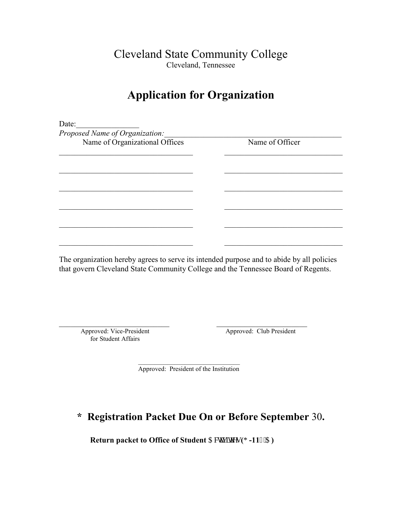Cleveland State Community College Cleveland, Tennessee

### Application for Organization

| Date:                          |                 |
|--------------------------------|-----------------|
| Proposed Name of Organization: |                 |
| Name of Organizational Offices | Name of Officer |
|                                |                 |
|                                |                 |
|                                |                 |
|                                |                 |
|                                |                 |
|                                |                 |
|                                |                 |
|                                |                 |
|                                |                 |

The organization hereby agrees to serve its intended purpose and to abide by all policies that govern Cleveland State Community College and the Tennessee Board of Regents.

for Student Affairs

 $\_$  , and the set of the set of the set of the set of the set of the set of the set of the set of the set of the set of the set of the set of the set of the set of the set of the set of the set of the set of the set of th Approved: Vice-President Approved: Club President

 $\mathcal{L}_\mathcal{L}$  , and the set of the set of the set of the set of the set of the set of the set of the set of the set of the set of the set of the set of the set of the set of the set of the set of the set of the set of th Approved: President of the Institution

#### \* Registration Packet Due On or Before September 30.

Return packet to Office of Student  $C$ evkk kgu ( $I -116$ °C)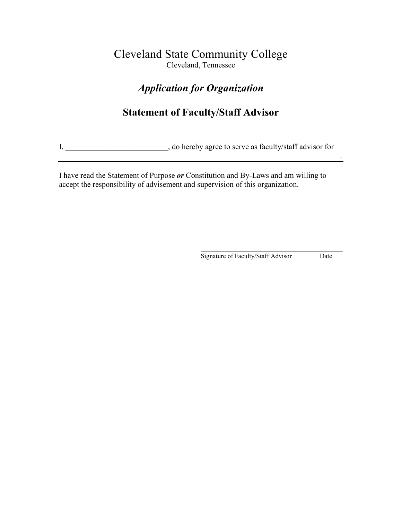#### Cleveland State Community College Cleveland, Tennessee

#### Application for Organization

#### Statement of Faculty/Staff Advisor

I, \_\_\_\_\_\_\_\_\_\_\_\_\_\_\_\_\_\_\_\_\_\_\_, do hereby agree to serve as faculty/staff advisor for

.

I have read the Statement of Purpose or Constitution and By-Laws and am willing to accept the responsibility of advisement and supervision of this organization.

 $\mathcal{L}_\text{max}$  , which is a set of the set of the set of the set of the set of the set of the set of the set of the set of the set of the set of the set of the set of the set of the set of the set of the set of the set of Signature of Faculty/Staff Advisor Date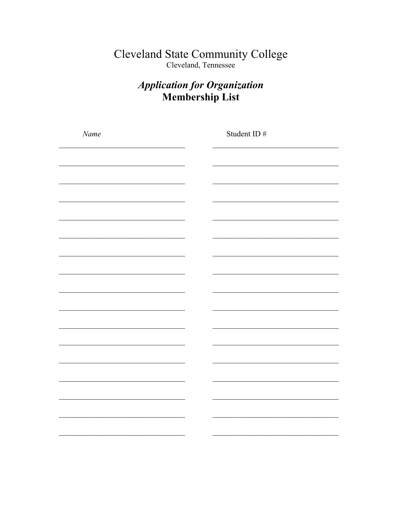# Cleveland State Community College<br>Cleveland, Tennessee

#### **Application for Organization** Membership List

| Name | Student ID # |
|------|--------------|
|      |              |
|      |              |
|      |              |
|      |              |
|      |              |
|      |              |
|      |              |
|      |              |
|      |              |
|      |              |
|      |              |
|      |              |
|      |              |
|      |              |
|      |              |